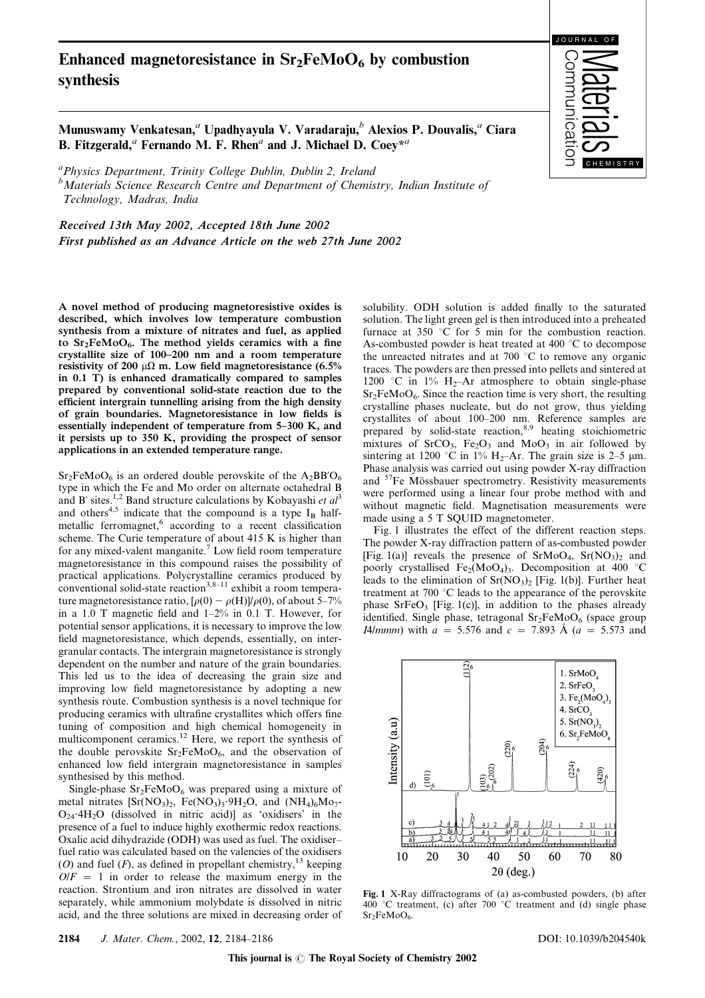## Enhanced magnetoresistance in  $Sr<sub>2</sub>FeMoO<sub>6</sub>$  by combustion synthesis



Munuswamy Venkatesan,<sup>*a*</sup> Upadhyayula V. Varadaraju,<sup>b</sup> Alexios P. Douvalis,<sup>*a*</sup> Ciara B. Fitzgerald,<sup>*a*</sup> Fernando M. F. Rhen<sup>*a*</sup> and J. Michael D. Coey<sup>\**a*</sup>

<sup>a</sup> Physics Department, Trinity College Dublin, Dublin 2, Ireland <sup>b</sup>Materials Science Research Centre and Department of Chemistry, Indian Institute of Technology, Madras, India

Received 13th May 2002, Accepted 18th June 2002 First published as an Advance Article on the web 27th June 2002

A novel method of producing magnetoresistive oxides is described, which involves low temperature combustion synthesis from a mixture of nitrates and fuel, as applied to  $Sr<sub>2</sub>FeMoO<sub>6</sub>$ . The method yields ceramics with a fine crystallite size of 100–200 nm and a room temperature resistivity of 200  $\mu\Omega$  m. Low field magnetoresistance (6.5% in 0.1 T) is enhanced dramatically compared to samples prepared by conventional solid-state reaction due to the efficient intergrain tunnelling arising from the high density of grain boundaries. Magnetoresistance in low fields is essentially independent of temperature from 5–300 K, and it persists up to 350 K, providing the prospect of sensor applications in an extended temperature range.

 $Sr<sub>2</sub>FeMoO<sub>6</sub>$  is an ordered double perovskite of the A<sub>2</sub>BB'O<sub>6</sub> type in which the Fe and Mo order on alternate octahedral B and B' sites.<sup>1,2</sup> Band structure calculations by Kobayashi et  $al^3$ and others<sup>4,5</sup> indicate that the compound is a type  $I_B$  halfmetallic ferromagnet, $6 \text{ according to a recent classification}$ scheme. The Curie temperature of about 415 K is higher than for any mixed-valent manganite.<sup>7</sup> Low field room temperature magnetoresistance in this compound raises the possibility of practical applications. Polycrystalline ceramics produced by conventional solid-state reaction<sup>3,8–11</sup> exhibit a room temperature magnetoresistance ratio,  $[\rho(0) - \rho(H)]/\rho(0)$ , of about 5–7% in a 1.0 T magnetic field and 1–2% in 0.1 T. However, for potential sensor applications, it is necessary to improve the low field magnetoresistance, which depends, essentially, on intergranular contacts. The intergrain magnetoresistance is strongly dependent on the number and nature of the grain boundaries. This led us to the idea of decreasing the grain size and improving low field magnetoresistance by adopting a new synthesis route. Combustion synthesis is a novel technique for producing ceramics with ultrafine crystallites which offers fine tuning of composition and high chemical homogeneity in multicomponent ceramics.<sup>12</sup> Here, we report the synthesis of the double perovskite  $Sr_2FeMoO<sub>6</sub>$ , and the observation of enhanced low field intergrain magnetoresistance in samples synthesised by this method.

Single-phase  $Sr_2FeMoO_6$  was prepared using a mixture of metal nitrates  $[\text{Sr}(\text{NO}_3)_2, \text{Fe}(\text{NO}_3)_3.9\text{H}_2\text{O}]$ , and  $(\text{NH}_4)_6\text{Mo}_7$ - $O_{24}$ <sup>-4</sup>H<sub>2</sub>O (dissolved in nitric acid)] as 'oxidisers' in the presence of a fuel to induce highly exothermic redox reactions. Oxalic acid dihydrazide (ODH) was used as fuel. The oxidiser– fuel ratio was calculated based on the valencies of the oxidisers (O) and fuel  $(F)$ , as defined in propellant chemistry,<sup>13</sup> keeping  $O/F = 1$  in order to release the maximum energy in the reaction. Strontium and iron nitrates are dissolved in water separately, while ammonium molybdate is dissolved in nitric acid, and the three solutions are mixed in decreasing order of solubility. ODH solution is added finally to the saturated solution. The light green gel is then introduced into a preheated furnace at 350  $\degree$ C for 5 min for the combustion reaction. As-combusted powder is heat treated at 400  $^{\circ}$ C to decompose the unreacted nitrates and at 700  $^{\circ}$ C to remove any organic traces. The powders are then pressed into pellets and sintered at 1200 °C in 1%  $H_2$ -Ar atmosphere to obtain single-phase  $Sr<sub>2</sub>FeMoO<sub>6</sub>$ . Since the reaction time is very short, the resulting crystalline phases nucleate, but do not grow, thus yielding crystallites of about 100–200 nm. Reference samples are prepared by solid-state reaction,<sup>8,9</sup> heating stoichiometric mixtures of  $SrCO<sub>3</sub>$ ,  $Fe<sub>2</sub>O<sub>3</sub>$  and  $MoO<sub>3</sub>$  in air followed by sintering at 1200 °C in 1% H<sub>2</sub>–Ar. The grain size is 2–5  $\mu$ m. Phase analysis was carried out using powder X-ray diffraction and <sup>57</sup>Fe Mössbauer spectrometry. Resistivity measurements were performed using a linear four probe method with and without magnetic field. Magnetisation measurements were made using a 5 T SQUID magnetometer.

Fig. 1 illustrates the effect of the different reaction steps. The powder X-ray diffraction pattern of as-combusted powder [Fig. 1(a)] reveals the presence of  $SrMoO<sub>4</sub>$ ,  $Sr(NO<sub>3</sub>)<sub>2</sub>$  and poorly crystallised Fe<sub>2</sub>(MoO<sub>4</sub>)<sub>3</sub>. Decomposition at 400 °C leads to the elimination of  $Sr(NO<sub>3</sub>)<sub>2</sub>$  [Fig. 1(b)]. Further heat treatment at 700 $\degree$ C leads to the appearance of the perovskite phase  $SrFeO<sub>3</sub>$  [Fig. 1(c)], in addition to the phases already identified. Single phase, tetragonal  $Sr<sub>2</sub>FeMoO<sub>6</sub>$  (space group I4/mmm) with  $a = 5.576$  and  $c = 7.893$  Å ( $a = 5.573$  and



Fig. 1 X-Ray diffractograms of (a) as-combusted powders, (b) after  $400^{\circ}$ C treatment, (c) after  $700^{\circ}$ C treatment and (d) single phase  $Sr<sub>2</sub>FeMoO<sub>6</sub>$ .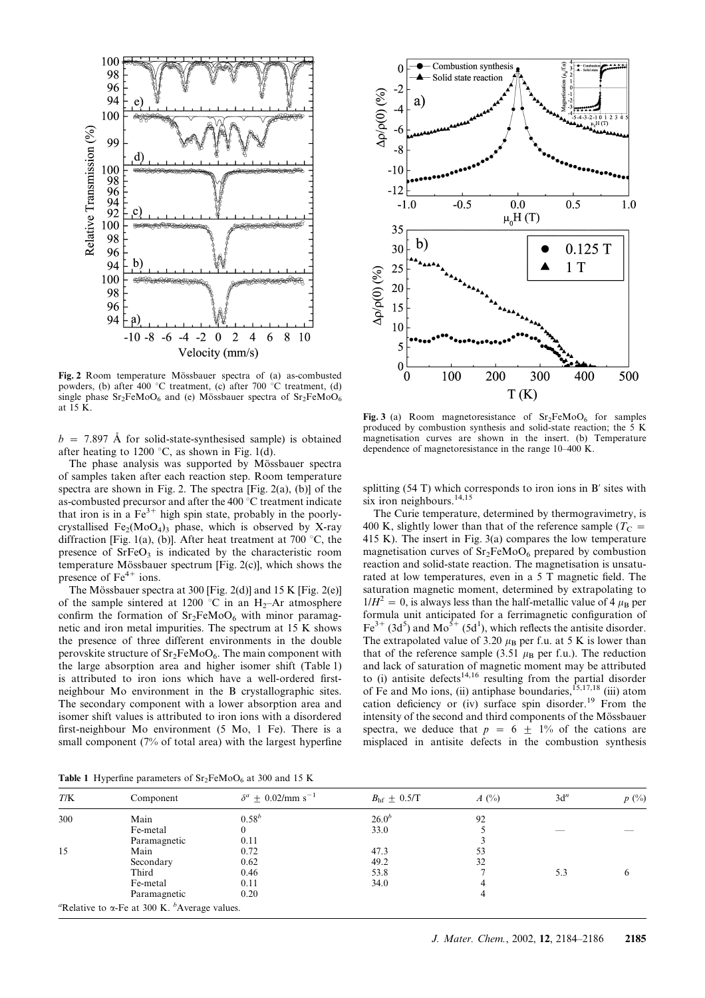

Fig. 2 Room temperature Mössbauer spectra of (a) as-combusted powders, (b) after 400 °C treatment, (c) after 700 °C treatment, (d) single phase  $Sr_2FeMoO_6$  and (e) Mössbauer spectra of  $Sr_2FeMoO_6$ at  $\overline{15}$  K.

 $b = 7.897$  Å for solid-state-synthesised sample) is obtained after heating to 1200 °C, as shown in Fig. 1(d).

The phase analysis was supported by Mössbauer spectra of samples taken after each reaction step. Room temperature spectra are shown in Fig. 2. The spectra [Fig. 2(a), (b)] of the as-combusted precursor and after the  $400\degree C$  treatment indicate that iron is in a  $Fe^{3+}$  high spin state, probably in the poorlycrystallised Fe<sub>2</sub>(MoO<sub>4</sub>)<sub>3</sub> phase, which is observed by X-ray diffraction [Fig. 1(a), (b)]. After heat treatment at 700  $\degree$ C, the presence of  $S$ rFe $O_3$  is indicated by the characteristic room temperature Mössbauer spectrum [Fig.  $2(c)$ ], which shows the presence of  $Fe<sup>4+</sup>$  ions.

The Mössbauer spectra at 300 [Fig. 2(d)] and 15 K [Fig. 2(e)] of the sample sintered at 1200 °C in an H<sub>2</sub>–Ar atmosphere confirm the formation of  $Sr_2FeMoO<sub>6</sub>$  with minor paramagnetic and iron metal impurities. The spectrum at 15 K shows the presence of three different environments in the double perovskite structure of  $Sr_2FeMoO_6$ . The main component with the large absorption area and higher isomer shift (Table 1) is attributed to iron ions which have a well-ordered firstneighbour Mo environment in the B crystallographic sites. The secondary component with a lower absorption area and isomer shift values is attributed to iron ions with a disordered first-neighbour Mo environment (5 Mo, 1 Fe). There is a small component (7% of total area) with the largest hyperfine



Fig. 3 (a) Room magnetoresistance of  $Sr<sub>2</sub>FeMoO<sub>6</sub>$  for samples produced by combustion synthesis and solid-state reaction; the 5 K magnetisation curves are shown in the insert. (b) Temperature dependence of magnetoresistance in the range 10–400 K.

splitting (54 T) which corresponds to iron ions in B' sites with six iron neighbours.<sup>14,15</sup>

The Curie temperature, determined by thermogravimetry, is 400 K, slightly lower than that of the reference sample ( $T_C$  = 415 K). The insert in Fig. 3(a) compares the low temperature magnetisation curves of  $Sr<sub>2</sub>FeMoO<sub>6</sub>$  prepared by combustion reaction and solid-state reaction. The magnetisation is unsaturated at low temperatures, even in a 5 T magnetic field. The saturation magnetic moment, determined by extrapolating to  $1/H^2 = 0$ , is always less than the half-metallic value of 4  $\mu_B$  per formula unit anticipated for a ferrimagnetic configuration of  $\text{Fe}^{3+}$  (3d<sup>5</sup>) and Mo<sup>5+</sup> (5d<sup>1</sup>), which reflects the antisite disorder. The extrapolated value of 3.20  $\mu$ <sub>B</sub> per f.u. at 5 K is lower than that of the reference sample (3.51  $\mu$ B per f.u.). The reduction and lack of saturation of magnetic moment may be attributed to (i) antisite defects<sup>14,16</sup> resulting from the partial disorder of Fe and Mo ions, (ii) antiphase boundaries,  $^{15,17,18}$  (iii) atom cation deficiency or (iv) surface spin disorder.<sup>19</sup> From the intensity of the second and third components of the Mössbauer spectra, we deduce that  $p = 6 \pm 1\%$  of the cations are misplaced in antisite defects in the combustion synthesis

Table 1 Hyperfine parameters of  $Sr<sub>2</sub>FeMoO<sub>6</sub>$  at 300 and 15 K

| T/K | Component    | $\delta^a + 0.02$ /mm s <sup>-1</sup> | $B_{\text{hf}} \pm 0.5/\text{T}$ | $A(^{0}_{0})$ | $3d^n$ | $p(\%)$ |
|-----|--------------|---------------------------------------|----------------------------------|---------------|--------|---------|
| 300 | Main         | $0.58^{b}$                            | $26.0^{b}$                       | 92            |        |         |
|     | Fe-metal     |                                       | 33.0                             |               |        |         |
|     | Paramagnetic | 0.11                                  |                                  |               |        |         |
| 15  | Main         | 0.72                                  | 47.3                             | 53            |        |         |
|     | Secondary    | 0.62                                  | 49.2                             | 32            |        |         |
|     | Third        | 0.46                                  | 53.8                             |               | 5.3    | O       |
|     | Fe-metal     | 0.11                                  | 34.0                             | 4             |        |         |
|     | Paramagnetic | 0.20                                  |                                  | 4             |        |         |

Relative to  $\alpha$ -Fe at 300 K. <sup>b</sup>Average values.